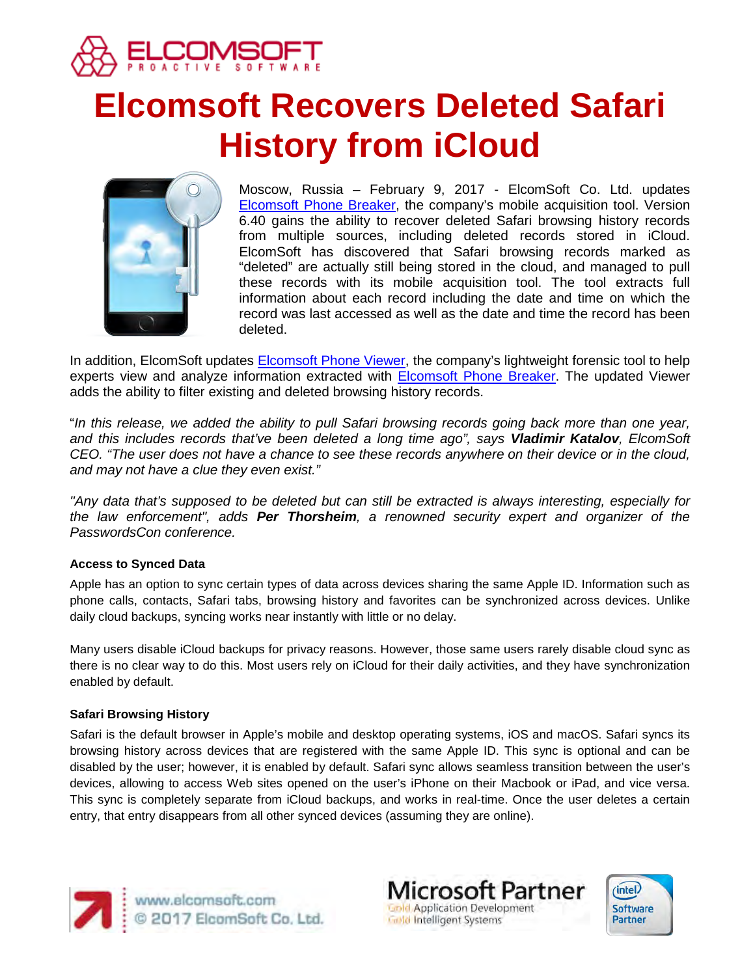

# **Elcomsoft Recovers Deleted Safari History from iCloud**



Moscow, Russia – February 9, 2017 - ElcomSoft Co. Ltd. updates [Elcomsoft Phone Breaker,](https://www.elcomsoft.com/eppb.html) the company's mobile acquisition tool. Version 6.40 gains the ability to recover deleted Safari browsing history records from multiple sources, including deleted records stored in iCloud. ElcomSoft has discovered that Safari browsing records marked as "deleted" are actually still being stored in the cloud, and managed to pull these records with its mobile acquisition tool. The tool extracts full information about each record including the date and time on which the record was last accessed as well as the date and time the record has been deleted.

In addition, ElcomSoft updates [Elcomsoft Phone Viewer,](https://www.elcomsoft.com/epv.html) the company's lightweight forensic tool to help experts view and analyze information extracted with [Elcomsoft Phone Breaker.](https://www.elcomsoft.com/eppb.html) The updated Viewer adds the ability to filter existing and deleted browsing history records.

"*In this release, we added the ability to pull Safari browsing records going back more than one year, and this includes records that've been deleted a long time ago", says Vladimir Katalov, ElcomSoft CEO. "The user does not have a chance to see these records anywhere on their device or in the cloud, and may not have a clue they even exist."*

*"Any data that's supposed to be deleted but can still be extracted is always interesting, especially for the law enforcement", adds Per Thorsheim, a renowned security expert and organizer of the PasswordsCon conference.*

# **Access to Synced Data**

Apple has an option to sync certain types of data across devices sharing the same Apple ID. Information such as phone calls, contacts, Safari tabs, browsing history and favorites can be synchronized across devices. Unlike daily cloud backups, syncing works near instantly with little or no delay.

Many users disable iCloud backups for privacy reasons. However, those same users rarely disable cloud sync as there is no clear way to do this. Most users rely on iCloud for their daily activities, and they have synchronization enabled by default.

# **Safari Browsing History**

Safari is the default browser in Apple's mobile and desktop operating systems, iOS and macOS. Safari syncs its browsing history across devices that are registered with the same Apple ID. This sync is optional and can be disabled by the user; however, it is enabled by default. Safari sync allows seamless transition between the user's devices, allowing to access Web sites opened on the user's iPhone on their Macbook or iPad, and vice versa. This sync is completely separate from iCloud backups, and works in real-time. Once the user deletes a certain entry, that entry disappears from all other synced devices (assuming they are online).



www.elcomsoft.com<br>© 2017 ElcomSoft Co. Ltd.

**Microsoft Partner Gold Application Development Gold Intelligent Systems**